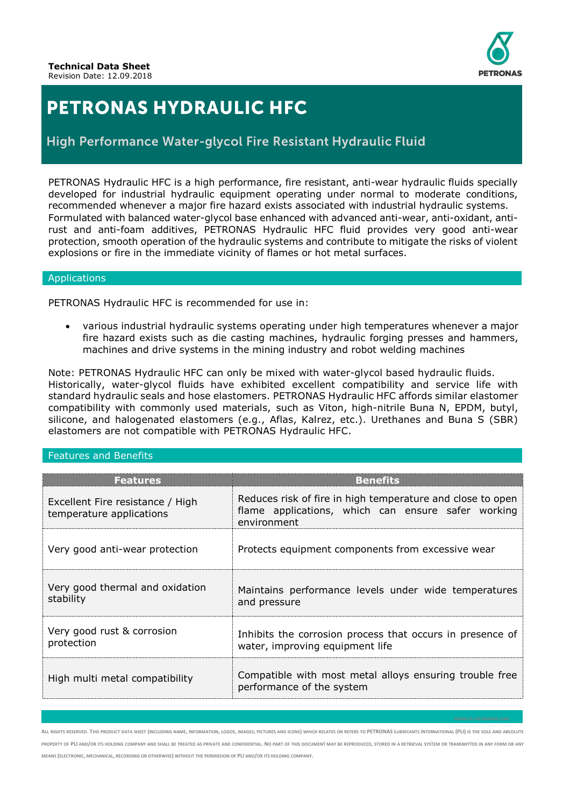

## **PETRONAS HYDRAULIC HFC**

### High Performance Water-glycol Fire Resistant Hydraulic Fluid

PETRONAS Hydraulic HFC is a high performance, fire resistant, anti-wear hydraulic fluids specially developed for industrial hydraulic equipment operating under normal to moderate conditions, recommended whenever a major fire hazard exists associated with industrial hydraulic systems. Formulated with balanced water-glycol base enhanced with advanced anti-wear, anti-oxidant, antirust and anti-foam additives, PETRONAS Hydraulic HFC fluid provides very good anti-wear protection, smooth operation of the hydraulic systems and contribute to mitigate the risks of violent explosions or fire in the immediate vicinity of flames or hot metal surfaces.

#### Applications

PETRONAS Hydraulic HFC is recommended for use in:

• various industrial hydraulic systems operating under high temperatures whenever a major fire hazard exists such as die casting machines, hydraulic forging presses and hammers, machines and drive systems in the mining industry and robot welding machines

Note: PETRONAS Hydraulic HFC can only be mixed with water-glycol based hydraulic fluids. Historically, water-glycol fluids have exhibited excellent compatibility and service life with standard hydraulic seals and hose elastomers. PETRONAS Hydraulic HFC affords similar elastomer compatibility with commonly used materials, such as Viton, high-nitrile Buna N, EPDM, butyl, silicone, and halogenated elastomers (e.g., Aflas, Kalrez, etc.). Urethanes and Buna S (SBR) elastomers are not compatible with PETRONAS Hydraulic HFC.

#### Features and Benefits

| <b>Features</b>                                              | <b>Benefits</b>                                                                                                                 |  |  |
|--------------------------------------------------------------|---------------------------------------------------------------------------------------------------------------------------------|--|--|
| Excellent Fire resistance / High<br>temperature applications | Reduces risk of fire in high temperature and close to open<br>flame applications, which can ensure safer working<br>environment |  |  |
| Very good anti-wear protection                               | Protects equipment components from excessive wear                                                                               |  |  |
| Very good thermal and oxidation<br>stability                 | Maintains performance levels under wide temperatures<br>and pressure                                                            |  |  |
| Very good rust & corrosion<br>protection                     | Inhibits the corrosion process that occurs in presence of<br>water, improving equipment life                                    |  |  |
| High multi metal compatibility                               | Compatible with most metal alloys ensuring trouble free<br>performance of the system                                            |  |  |

ALL RIGHTS RESERVED. THIS PRODUCT DATA SHEET (INCLUDING NAME, INFORMATION, LOGOS, IMAGES, PICTURES AND ICONS) WHICH RELATES OR REFERS TO PETRONAS LUBRICANTS INTERNATIONAL (PLI) IS THE SOLE AND ABSOLUTE PROPERTY OF PLI AND/OR ITS HOLDING COMPANY AND SHALL BE TREATED AS PRIVATE AND CONFIDENTIAL. NO PART OF THIS DOCUMENT MAY BE REPRODUCED, STORED IN A RETRIEVAL SYSTEM OR TRANSMITTED IN ANY FORM OR ANY **MEANS (ELECTRONIC, MECHANICAL, RECORDING OR OTHERWISE) WITHOUT THE PERMISSION OF PLI AND/OR ITS HOLDING COMPANY.**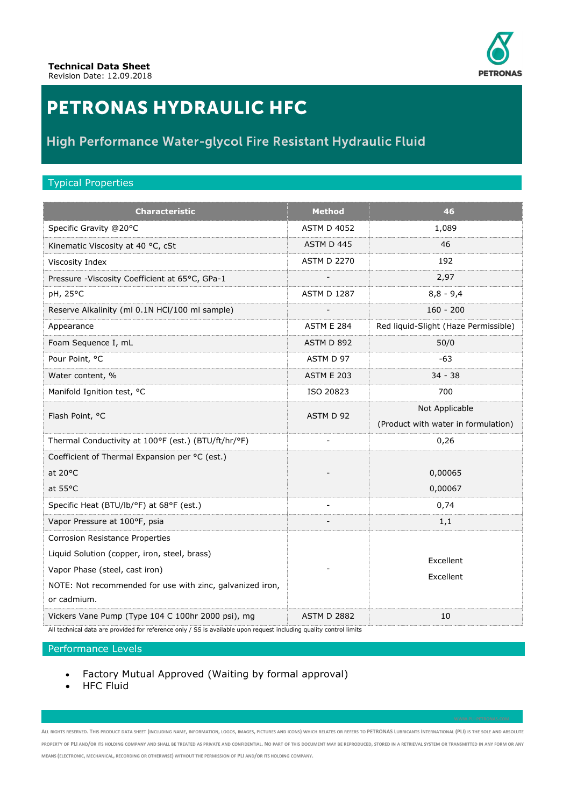

# **PETRONAS HYDRAULIC HFC**

### High Performance Water-glycol Fire Resistant Hydraulic Fluid

#### Typical Properties

| <b>Characteristic</b>                                            | <b>Method</b>      | 46                                   |
|------------------------------------------------------------------|--------------------|--------------------------------------|
| Specific Gravity @20°C                                           | <b>ASTM D 4052</b> | 1,089                                |
| Kinematic Viscosity at 40 °C, cSt                                | ASTM D 445         | 46                                   |
| Viscosity Index                                                  | <b>ASTM D 2270</b> | 192                                  |
| Pressure - Viscosity Coefficient at 65°C, GPa-1                  |                    | 2,97                                 |
| pH, 25°C                                                         | <b>ASTM D 1287</b> | $8,8 - 9,4$                          |
| Reserve Alkalinity (ml 0.1N HCl/100 ml sample)                   |                    | $160 - 200$                          |
| Appearance                                                       | <b>ASTM E 284</b>  | Red liquid-Slight (Haze Permissible) |
| Foam Sequence I, mL                                              | ASTM D 892         | 50/0                                 |
| Pour Point, °C                                                   | ASTM D 97          | $-63$                                |
| Water content, %                                                 | <b>ASTM E 203</b>  | $34 - 38$                            |
| Manifold Ignition test, °C                                       | ISO 20823          | 700                                  |
| Flash Point, °C                                                  | ASTM D 92          | Not Applicable                       |
|                                                                  |                    | (Product with water in formulation)  |
| Thermal Conductivity at 100°F (est.) (BTU/ft/hr/°F)              |                    | 0,26                                 |
| Coefficient of Thermal Expansion per °C (est.)                   |                    |                                      |
| at 20°C                                                          |                    | 0,00065                              |
| at 55°C                                                          |                    | 0,00067                              |
| Specific Heat (BTU/lb/°F) at 68°F (est.)                         | ÷,                 | 0,74                                 |
| Vapor Pressure at 100°F, psia                                    |                    | 1,1                                  |
| Corrosion Resistance Properties                                  |                    |                                      |
| Liquid Solution (copper, iron, steel, brass)                     |                    | Excellent                            |
| Vapor Phase (steel, cast iron)                                   |                    | Excellent                            |
| NOTE: Not recommended for use with zinc, galvanized iron,        |                    |                                      |
| or cadmium.<br>Vickers Vane Pump (Type 104 C 100hr 2000 psi), mg | <b>ASTM D 2882</b> | 10                                   |

All technical data are provided for reference only / SS is available upon request including quality control limits

#### Performance Levels

- Factory Mutual Approved (Waiting by formal approval)
- **HFC Fluid**

ALL RIGHTS RESERVED. THIS PRODUCT DATA SHEET (INCLUDING NAME, INFORMATION, LOGOS, IMAGES, PICTURES AND ICONS) WHICH RELATES OR REFERS TO PETRONAS LUBRICANTS INTERNATIONAL (PLI) IS THE SOLE AND ABSOLUTE PROPERTY OF PLI AND/OR ITS HOLDING COMPANY AND SHALL BE TREATED AS PRIVATE AND CONFIDENTIAL. NO PART OF THIS DOCUMENT MAY BE REPRODUCED, STORED IN A RETRIEVAL SYSTEM OR TRANSMITTED IN ANY FORM OR ANY **MEANS (ELECTRONIC, MECHANICAL, RECORDING OR OTHERWISE) WITHOUT THE PERMISSION OF PLI AND/OR ITS HOLDING COMPANY.**